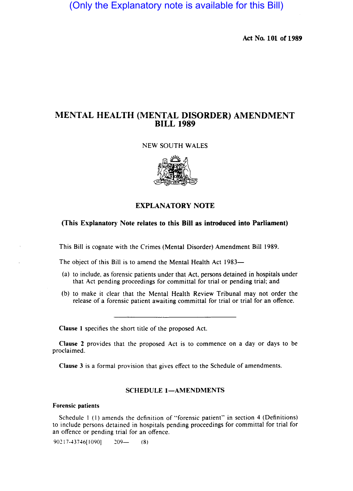(Only the Explanatory note is available for this Bill)

Act No. 101 of 1989

# MENTAL HEALTH (MENTAL DISORDER) AMENDMENT BILL 1989

#### NEW SOUTH WALES



# EXPLANATORY NOTE

## (This Explanatory Note relates to this Bill as introduced into Parliament)

This Bill is cognate with the Crimes (Mental Disorder) Amendment Bill 1989.

The object of this Bill is to amend the Mental Health Act 1983-

- (a) to include, as forensic patients under that Act, persons detained in hospitals under that Act pending proceedings for committal for trial or pending trial; and
- (b) to make it clear that the Mental Health Review Tribunal may not order the release of a forensic patient awaiting committal for trial or trial for an offence.

Clause I specifies the short title of the proposed Act.

Clause 2 provides that the proposed Act is to commence on a day or days to be proclaimed.

Clause 3 is a formal provision that gives effect to the Schedule of amendments.

#### SCHEDULE 1-AMENDMENTS

#### Forensic patients

Schedule I (I) amends the definition of "forensic patient" in section 4 (Definitions) to include persons detained in hospitals pending proceedings for committal for trial for an offence or pending trial for an offence.

90217-43746[1090] 209- (8)